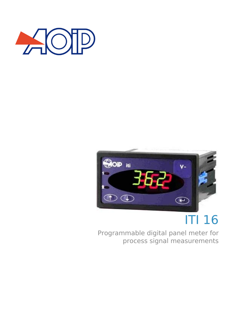



# ITI 16

Programmable digital panel meter for process signal measurements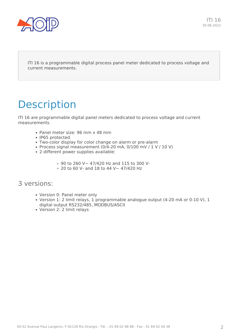

ITI 16 is a programmable digital process panel meter dedicated to process voltage and current measurements.

## **Description**

ITI 16 are programmable digital panel meters dedicated to process voltage and current measurements.

- Panel meter size: 96 mm x 48 mm
- IP65 protected
- Two-color display for color change on alarm or pre-alarm
- Process signal measurement (0/4-20 mA, 0/100 mV /  $1$  V /  $10$  V)
- 2 different power supplies available:
	- 90 to 260 V~ 47/420 Hz and 115 to 300 V-
	- $\,\circ\,$  20 to 60 V- and 18 to 44 V  $\sim\,$  47/420 Hz

#### 3 versions:

- Version 0: Panel meter only
- Version 1: 2 limit relays, 1 programmable analogue output (4-20 mA or 0-10 V), 1 digital output RS232/485, MODBUS/ASCII
- Version 2: 2 limit relays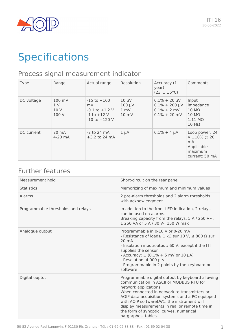

## Specifications

### Process signal measurement indicator

| Type       | Range                          | Actual range                                                                        | Resolution                                 | Accuracy (1<br>year)<br>$(23^{\circ}C \pm 5^{\circ}C)$                         | Comments                                                                                                             |
|------------|--------------------------------|-------------------------------------------------------------------------------------|--------------------------------------------|--------------------------------------------------------------------------------|----------------------------------------------------------------------------------------------------------------------|
| DC voltage | 100 mV<br>1 V<br>10 V<br>100 V | $-15$ to $+160$<br>mV<br>$-0.1$ to $+1.2$ V<br>$-1$ to $+12$ V<br>$-10$ to $+120$ V | $10 \mu V$<br>$100 \mu V$<br>1 mV<br>10 mV | $0.1\% + 20 \mu V$<br>$0.1\% + 200 \mu V$<br>$0.1\% + 2$ mV<br>$0.1\% + 20$ mV | Input<br>impedance<br>$10 \text{ M}\Omega$<br>$10 \text{ M}\Omega$<br>$1.11 \text{ M}\Omega$<br>$10 \text{ M}\Omega$ |
| DC current | $20 \text{ mA}$<br>$4-20$ mA   | $-2$ to 24 mA<br>$+3.2$ to 24 mA                                                    | $1 \mu A$                                  | $0.1\% + 4 \mu A$                                                              | Loop power: 24<br>$V \pm 10\%$ @ 20<br>mA<br>Applicable<br>maximum<br>current: 50 mA                                 |

### Further features

| Measurement hold                   | Short-circuit on the rear panel                                                                                                                                                                                                                                                                                                                                                           |
|------------------------------------|-------------------------------------------------------------------------------------------------------------------------------------------------------------------------------------------------------------------------------------------------------------------------------------------------------------------------------------------------------------------------------------------|
| <b>Statistics</b>                  | Memorizing of maximum and minimum values                                                                                                                                                                                                                                                                                                                                                  |
| Alarms                             | 2 pre-alarm thresholds and 2 alarm thresholds<br>with acknowledgment                                                                                                                                                                                                                                                                                                                      |
| Programmable thresholds and relays | In addition to the front LED indication, 2 relays<br>can be used on alarms.<br>Breaking capacity from the relays: $5 A / 250 V \sim$ ,<br>1 250 VA or 5 A / 30 V-, 150 W max                                                                                                                                                                                                              |
| Analogue output                    | Programmable in 0-10 V or 0-20 mA<br>- Resistance of load $\geq 1$ k $\Omega$ sur 10 V, $\leq 800 \Omega$ sur<br>$20 \text{ mA}$<br>- Insulation input/output: 60 V, except if the ITI<br>supplies the sensor<br>- Accuracy: $\pm$ (0.1% + 5 mV or 10 µA)<br>- Resolution: 4 000 pts<br>- Programmable in 2 points by the keyboard or<br>software                                         |
| Digital ouptut                     | Programmable digital output by keyboard allowing<br>communication in ASCII or MODBUS RTU for<br>network applications<br>When connected in network to transmitters or<br>AOIP data acquisition systems and a PC equipped<br>with AOIP softwareLW1, the instrument will<br>display measurements in real or remote time in<br>the form of synoptic, curves, numerical<br>bargraphes, tables. |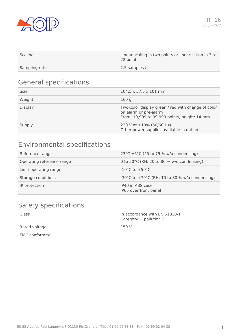

| Scaling       | Linear scaling in two points or linearization in 3 to<br>22 points |
|---------------|--------------------------------------------------------------------|
| Sampling rate | 2.5 samples / s                                                    |

### General specifications

| <b>Size</b>    | 104.5 x 57.5 x 101 mm                                                                                                       |
|----------------|-----------------------------------------------------------------------------------------------------------------------------|
| Weight         | 160 g                                                                                                                       |
| <b>Display</b> | Two-color display green / red with change of color<br>on alarm or pre-alarm<br>From -19,999 to 99,999 points, height: 14 mm |
| Supply         | 230 V at $\pm 10\%$ (50/60 Hz)<br>Other power supplies available in option                                                  |

### Environmental specifications

| Reference range           | 23°C $\pm$ 5°C (45 to 75 % w/o condensing)           |
|---------------------------|------------------------------------------------------|
| Operating reference range | 0 to 50 $^{\circ}$ C (RH: 20 to 80 % w/o condensing) |
| Limit operating range     | $-10^{\circ}$ C to $+50^{\circ}$ C                   |
| Storage conditions        | -30°C to +70°C (RH: 10 to 80 % w/o condensing)       |
| IP protection             | IP40 in ABS case<br>IP65 over front panel            |

### Safety specifications

| Class                 | In accordance with EN 61010-1<br>Category II, pollution 2 |
|-----------------------|-----------------------------------------------------------|
| Rated voltage         | 150 V                                                     |
| <b>EMC</b> conformity |                                                           |
|                       |                                                           |